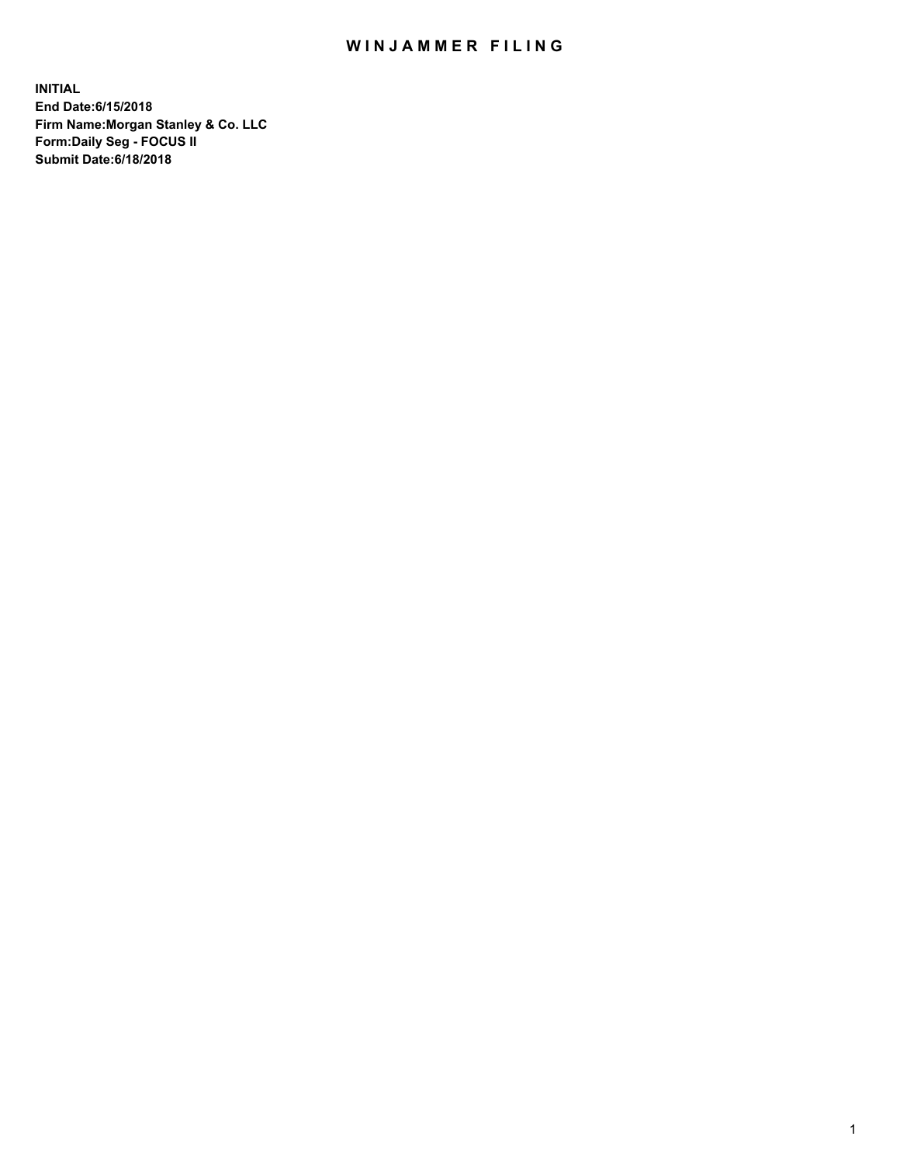## WIN JAMMER FILING

**INITIAL End Date:6/15/2018 Firm Name:Morgan Stanley & Co. LLC Form:Daily Seg - FOCUS II Submit Date:6/18/2018**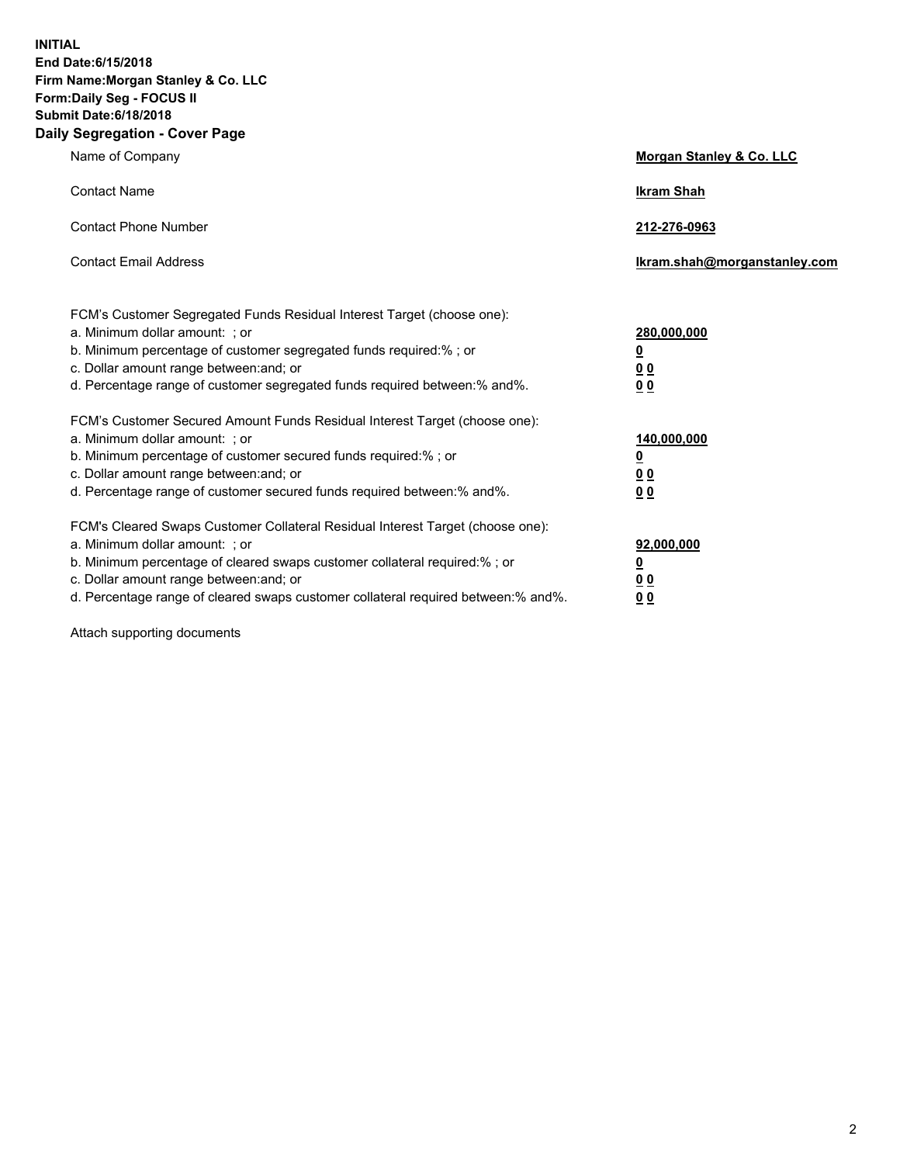**INITIAL End Date:6/15/2018 Firm Name:Morgan Stanley & Co. LLC Form:Daily Seg - FOCUS II Submit Date:6/18/2018 Daily Segregation - Cover Page**

| Name of Company                                                                                                                                                                                                                                                                                                                | Morgan Stanley & Co. LLC                               |
|--------------------------------------------------------------------------------------------------------------------------------------------------------------------------------------------------------------------------------------------------------------------------------------------------------------------------------|--------------------------------------------------------|
| <b>Contact Name</b>                                                                                                                                                                                                                                                                                                            | <b>Ikram Shah</b>                                      |
| <b>Contact Phone Number</b>                                                                                                                                                                                                                                                                                                    | 212-276-0963                                           |
| <b>Contact Email Address</b>                                                                                                                                                                                                                                                                                                   | lkram.shah@morganstanley.com                           |
| FCM's Customer Segregated Funds Residual Interest Target (choose one):<br>a. Minimum dollar amount: ; or<br>b. Minimum percentage of customer segregated funds required:% ; or<br>c. Dollar amount range between: and; or<br>d. Percentage range of customer segregated funds required between:% and%.                         | 280,000,000<br><u>0</u><br><u>0 0</u><br>0 Q           |
| FCM's Customer Secured Amount Funds Residual Interest Target (choose one):<br>a. Minimum dollar amount: ; or<br>b. Minimum percentage of customer secured funds required:%; or<br>c. Dollar amount range between: and; or<br>d. Percentage range of customer secured funds required between:% and%.                            | 140,000,000<br><u>0</u><br><u>00</u><br>0 <sub>0</sub> |
| FCM's Cleared Swaps Customer Collateral Residual Interest Target (choose one):<br>a. Minimum dollar amount: ; or<br>b. Minimum percentage of cleared swaps customer collateral required:% ; or<br>c. Dollar amount range between: and; or<br>d. Percentage range of cleared swaps customer collateral required between:% and%. | 92,000,000<br><u>0</u><br><u>00</u><br>0 <sup>0</sup>  |

Attach supporting documents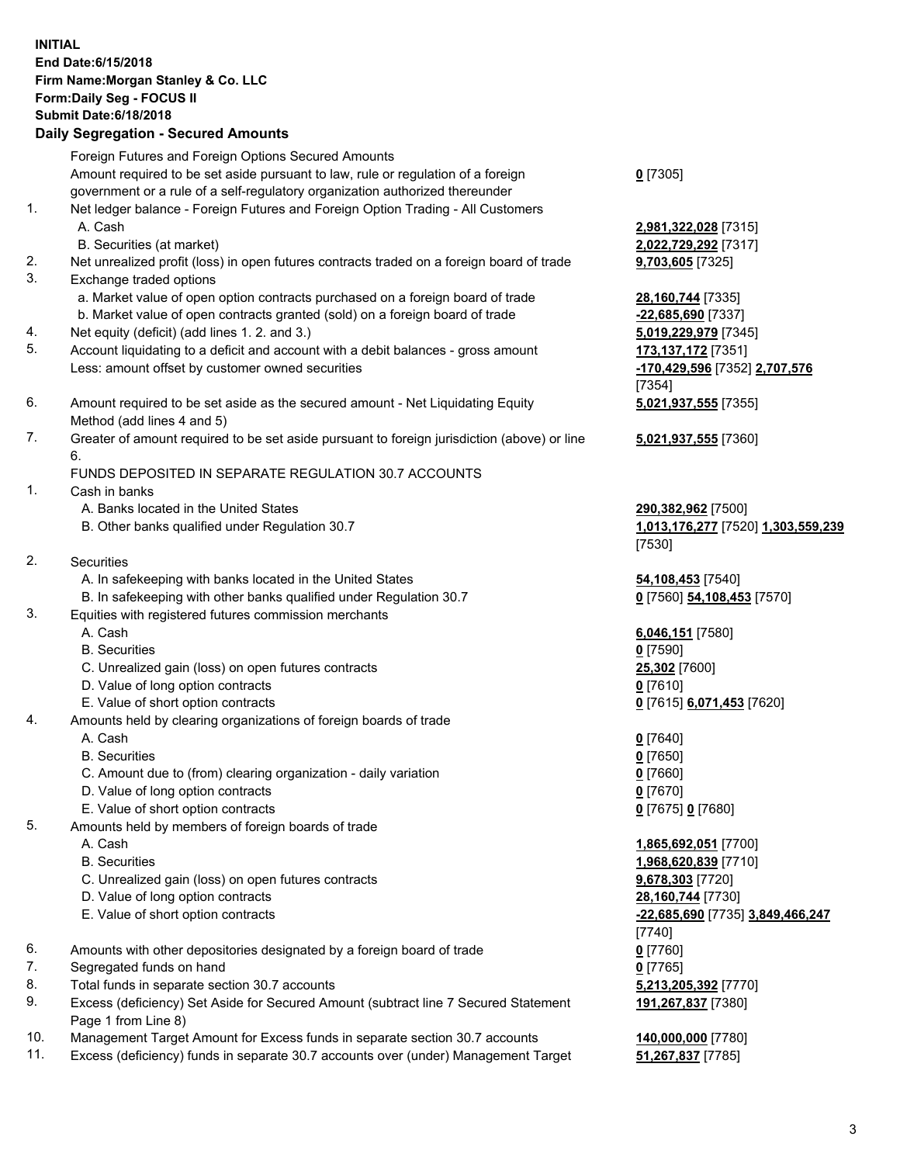## **INITIAL End Date:6/15/2018 Firm Name:Morgan Stanley & Co. LLC Form:Daily Seg - FOCUS II Submit Date:6/18/2018 Daily Segregation - Secured Amounts** Foreign Futures and Foreign Options Secured Amounts

Amount required to be set aside pursuant to law, rule or regulation of a foreign government or a rule of a self-regulatory organization authorized thereunder

- 1. Net ledger balance Foreign Futures and Foreign Option Trading All Customers A. Cash **2,981,322,028** [7315]
	- B. Securities (at market) **2,022,729,292** [7317]
- 2. Net unrealized profit (loss) in open futures contracts traded on a foreign board of trade **9,703,605** [7325]
- 3. Exchange traded options
	- a. Market value of open option contracts purchased on a foreign board of trade **28,160,744** [7335]
	- b. Market value of open contracts granted (sold) on a foreign board of trade **-22,685,690** [7337]
- 4. Net equity (deficit) (add lines 1. 2. and 3.) **5,019,229,979** [7345]
- 5. Account liquidating to a deficit and account with a debit balances gross amount **173,137,172** [7351] Less: amount offset by customer owned securities **-170,429,596** [7352] **2,707,576**
- 6. Amount required to be set aside as the secured amount Net Liquidating Equity Method (add lines 4 and 5)
- 7. Greater of amount required to be set aside pursuant to foreign jurisdiction (above) or line 6.

## FUNDS DEPOSITED IN SEPARATE REGULATION 30.7 ACCOUNTS

- 1. Cash in banks
	- A. Banks located in the United States **290,382,962** [7500]
	- B. Other banks qualified under Regulation 30.7 **1,013,176,277** [7520] **1,303,559,239**
- 2. Securities
	- A. In safekeeping with banks located in the United States **54,108,453** [7540]
	- B. In safekeeping with other banks qualified under Regulation 30.7 **0** [7560] **54,108,453** [7570]
- 3. Equities with registered futures commission merchants
	-
	- B. Securities **0** [7590]
	- C. Unrealized gain (loss) on open futures contracts **25,302** [7600]
	- D. Value of long option contracts **0** [7610]
- E. Value of short option contracts **0** [7615] **6,071,453** [7620]
- 4. Amounts held by clearing organizations of foreign boards of trade
	- A. Cash **0** [7640]
	- B. Securities **0** [7650]
	- C. Amount due to (from) clearing organization daily variation **0** [7660]
	- D. Value of long option contracts **0** [7670]
	- E. Value of short option contracts **0** [7675] **0** [7680]
- 5. Amounts held by members of foreign boards of trade
	-
	-
	- C. Unrealized gain (loss) on open futures contracts **9,678,303** [7720]
	- D. Value of long option contracts **28,160,744** [7730]
	- E. Value of short option contracts **-22,685,690** [7735] **3,849,466,247**
- 6. Amounts with other depositories designated by a foreign board of trade **0** [7760]
- 7. Segregated funds on hand **0** [7765]
- 8. Total funds in separate section 30.7 accounts **5,213,205,392** [7770]
- 9. Excess (deficiency) Set Aside for Secured Amount (subtract line 7 Secured Statement Page 1 from Line 8)
- 10. Management Target Amount for Excess funds in separate section 30.7 accounts **140,000,000** [7780]
- 11. Excess (deficiency) funds in separate 30.7 accounts over (under) Management Target **51,267,837** [7785]

**0** [7305]

[7354] **5,021,937,555** [7355]

**5,021,937,555** [7360]

[7530]

A. Cash **6,046,151** [7580]

 A. Cash **1,865,692,051** [7700] B. Securities **1,968,620,839** [7710] [7740] **191,267,837** [7380]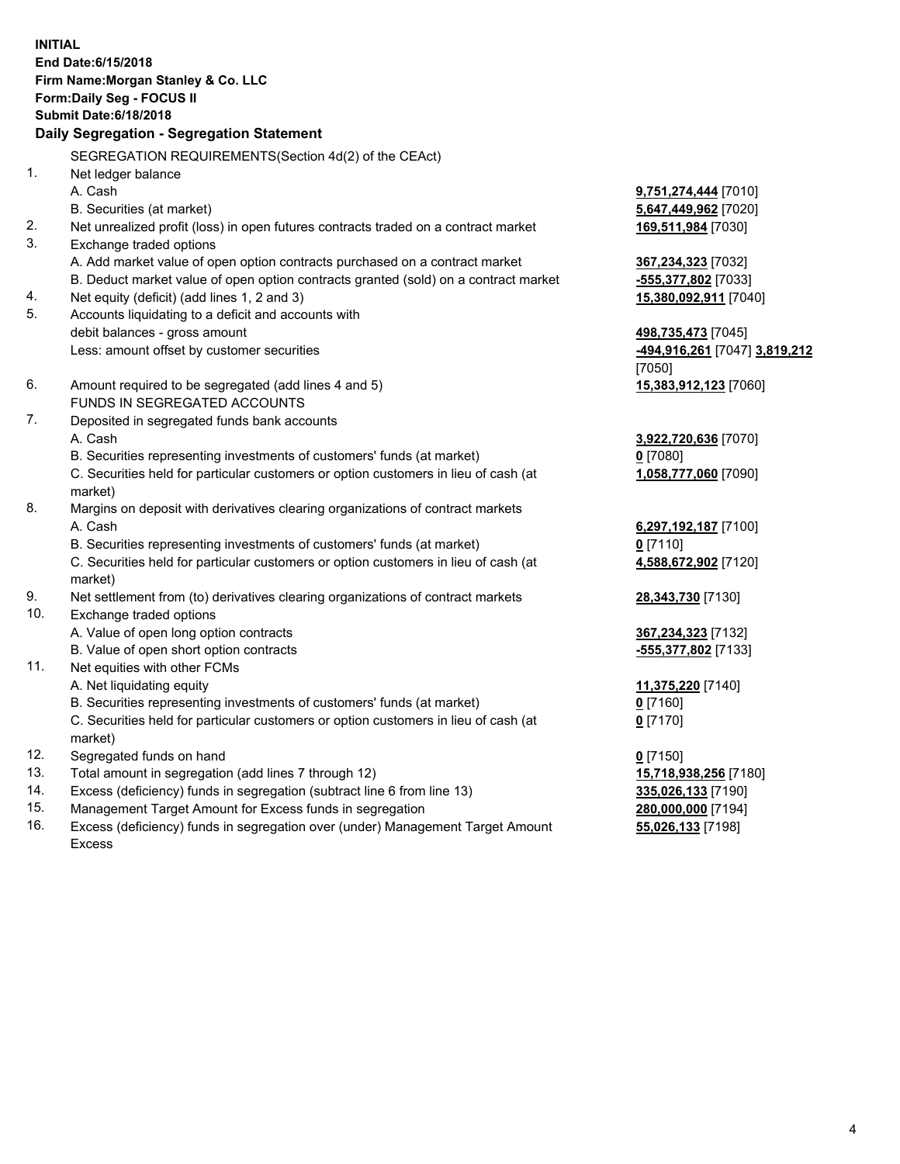**INITIAL End Date:6/15/2018 Firm Name:Morgan Stanley & Co. LLC Form:Daily Seg - FOCUS II Submit Date:6/18/2018 Daily Segregation - Segregation Statement** SEGREGATION REQUIREMENTS(Section 4d(2) of the CEAct) 1. Net ledger balance A. Cash **9,751,274,444** [7010] B. Securities (at market) **5,647,449,962** [7020] 2. Net unrealized profit (loss) in open futures contracts traded on a contract market **169,511,984** [7030] 3. Exchange traded options A. Add market value of open option contracts purchased on a contract market **367,234,323** [7032] B. Deduct market value of open option contracts granted (sold) on a contract market **-555,377,802** [7033] 4. Net equity (deficit) (add lines 1, 2 and 3) **15,380,092,911** [7040] 5. Accounts liquidating to a deficit and accounts with debit balances - gross amount **498,735,473** [7045] Less: amount offset by customer securities **-494,916,261** [7047] **3,819,212** [7050] 6. Amount required to be segregated (add lines 4 and 5) **15,383,912,123** [7060] FUNDS IN SEGREGATED ACCOUNTS 7. Deposited in segregated funds bank accounts A. Cash **3,922,720,636** [7070] B. Securities representing investments of customers' funds (at market) **0** [7080] C. Securities held for particular customers or option customers in lieu of cash (at market) **1,058,777,060** [7090] 8. Margins on deposit with derivatives clearing organizations of contract markets A. Cash **6,297,192,187** [7100] B. Securities representing investments of customers' funds (at market) **0** [7110] C. Securities held for particular customers or option customers in lieu of cash (at market) **4,588,672,902** [7120] 9. Net settlement from (to) derivatives clearing organizations of contract markets **28,343,730** [7130] 10. Exchange traded options A. Value of open long option contracts **367,234,323** [7132] B. Value of open short option contracts **-555,377,802** [7133] 11. Net equities with other FCMs A. Net liquidating equity **11,375,220** [7140] B. Securities representing investments of customers' funds (at market) **0** [7160] C. Securities held for particular customers or option customers in lieu of cash (at market) **0** [7170] 12. Segregated funds on hand **0** [7150] 13. Total amount in segregation (add lines 7 through 12) **15,718,938,256** [7180] 14. Excess (deficiency) funds in segregation (subtract line 6 from line 13) **335,026,133** [7190] 15. Management Target Amount for Excess funds in segregation **280,000,000** [7194] **55,026,133** [7198]

16. Excess (deficiency) funds in segregation over (under) Management Target Amount Excess